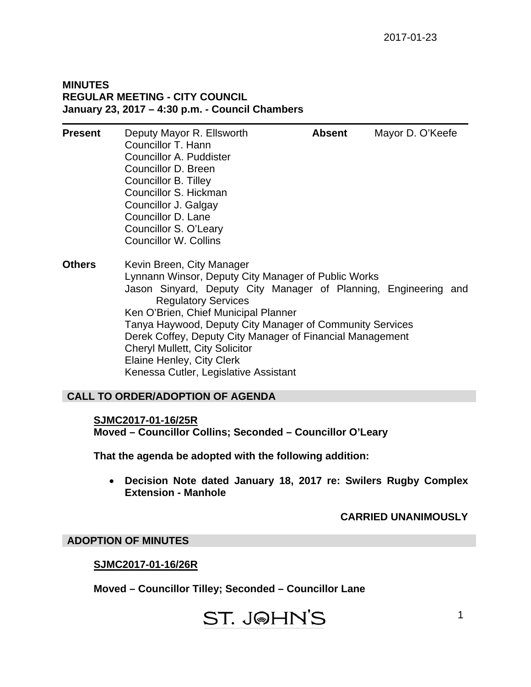#### **MINUTES REGULAR MEETING - CITY COUNCIL January 23, 2017 – 4:30 p.m. - Council Chambers**

| <b>Present</b> | Deputy Mayor R. Ellsworth<br>Councillor T. Hann<br>Councillor A. Puddister<br>Councillor D. Breen<br>Councillor B. Tilley<br>Councillor S. Hickman<br>Councillor J. Galgay<br>Councillor D. Lane<br>Councillor S. O'Leary<br><b>Councillor W. Collins</b>                                                                                                                                                                                                         | <b>Absent</b> | Mayor D. O'Keefe |
|----------------|-------------------------------------------------------------------------------------------------------------------------------------------------------------------------------------------------------------------------------------------------------------------------------------------------------------------------------------------------------------------------------------------------------------------------------------------------------------------|---------------|------------------|
| <b>Others</b>  | Kevin Breen, City Manager<br>Lynnann Winsor, Deputy City Manager of Public Works<br>Jason Sinyard, Deputy City Manager of Planning, Engineering and<br><b>Regulatory Services</b><br>Ken O'Brien, Chief Municipal Planner<br>Tanya Haywood, Deputy City Manager of Community Services<br>Derek Coffey, Deputy City Manager of Financial Management<br><b>Cheryl Mullett, City Solicitor</b><br>Elaine Henley, City Clerk<br>Kenessa Cutler, Legislative Assistant |               |                  |

## **CALL TO ORDER/ADOPTION OF AGENDA**

#### **SJMC2017-01-16/25R**

**Moved – Councillor Collins; Seconded – Councillor O'Leary** 

**That the agenda be adopted with the following addition:** 

 **Decision Note dated January 18, 2017 re: Swilers Rugby Complex Extension - Manhole** 

## **CARRIED UNANIMOUSLY**

## **ADOPTION OF MINUTES**

## **SJMC2017-01-16/26R**

**Moved – Councillor Tilley; Seconded – Councillor Lane** 

## ST. J@HN'S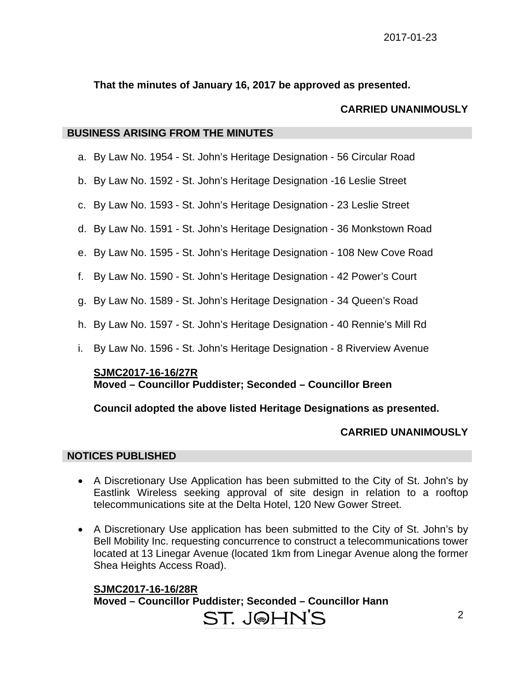**That the minutes of January 16, 2017 be approved as presented.** 

## **CARRIED UNANIMOUSLY**

#### **BUSINESS ARISING FROM THE MINUTES**

- a. By Law No. 1954 St. John's Heritage Designation 56 Circular Road
- b. By Law No. 1592 St. John's Heritage Designation -16 Leslie Street
- c. By Law No. 1593 St. John's Heritage Designation 23 Leslie Street
- d. By Law No. 1591 St. John's Heritage Designation 36 Monkstown Road
- e. By Law No. 1595 St. John's Heritage Designation 108 New Cove Road
- f. By Law No. 1590 St. John's Heritage Designation 42 Power's Court
- g. By Law No. 1589 St. John's Heritage Designation 34 Queen's Road
- h. By Law No. 1597 St. John's Heritage Designation 40 Rennie's Mill Rd
- i. By Law No. 1596 St. John's Heritage Designation 8 Riverview Avenue

#### **SJMC2017-16-16/27R Moved – Councillor Puddister; Seconded – Councillor Breen**

## **Council adopted the above listed Heritage Designations as presented.**

## **CARRIED UNANIMOUSLY**

## **NOTICES PUBLISHED**

- A Discretionary Use Application has been submitted to the City of St. John's by Eastlink Wireless seeking approval of site design in relation to a rooftop telecommunications site at the Delta Hotel, 120 New Gower Street.
- A Discretionary Use application has been submitted to the City of St. John's by Bell Mobility Inc. requesting concurrence to construct a telecommunications tower located at 13 Linegar Avenue (located 1km from Linegar Avenue along the former Shea Heights Access Road).

**SJMC2017-16-16/28R Moved – Councillor Puddister; Seconded – Councillor Hann** 

# ST. J@HN'S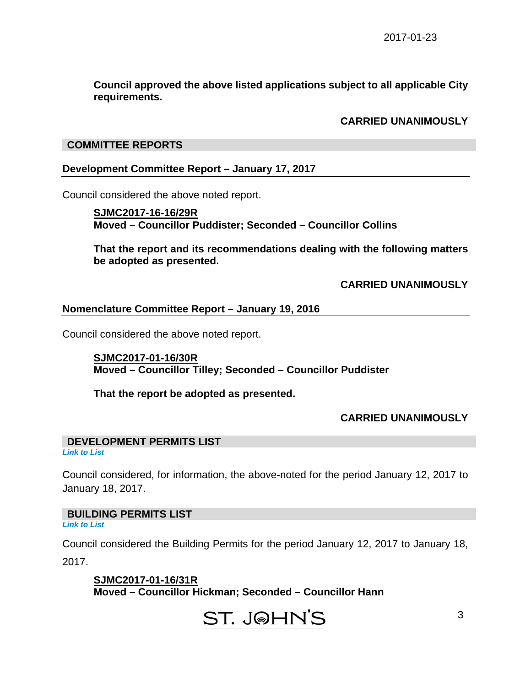**Council approved the above listed applications subject to all applicable City requirements.** 

#### **CARRIED UNANIMOUSLY**

#### **COMMITTEE REPORTS**

#### **Development Committee Report – January 17, 2017**

Council considered the above noted report.

**SJMC2017-16-16/29R Moved – Councillor Puddister; Seconded – Councillor Collins** 

**That the report and its recommendations dealing with the following matters be adopted as presented.** 

**CARRIED UNANIMOUSLY** 

#### **Nomenclature Committee Report – January 19, 2016**

Council considered the above noted report.

**SJMC2017-01-16/30R Moved – Councillor Tilley; Seconded – Councillor Puddister** 

**That the report be adopted as presented.** 

#### **CARRIED UNANIMOUSLY**

## **DEVELOPMENT PERMITS LIST**

*[Link to List](#page-6-0)* 

Council considered, for information, the above-noted for the period January 12, 2017 to January 18, 2017.

**BUILDING PERMITS LIST**  *[Link to List](#page-7-0)* 

Council considered the Building Permits for the period January 12, 2017 to January 18, 2017.

**SJMC2017-01-16/31R Moved – Councillor Hickman; Seconded – Councillor Hann**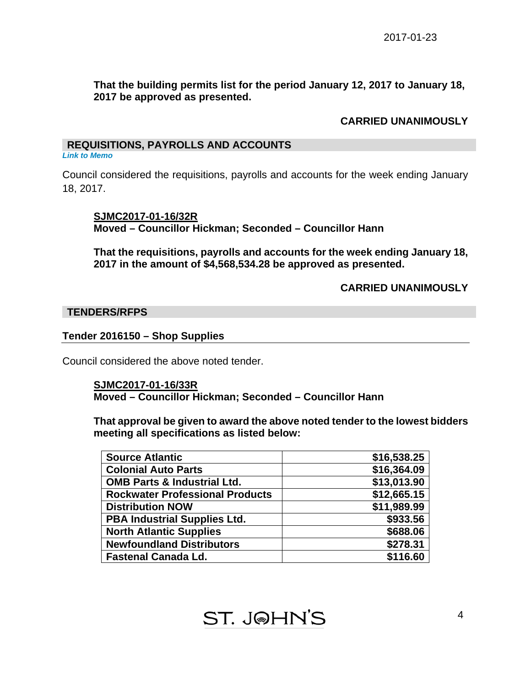## **That the building permits list for the period January 12, 2017 to January 18, 2017 be approved as presented.**

## **CARRIED UNANIMOUSLY**

## **REQUISITIONS, PAYROLLS AND ACCOUNTS**

*[Link to Memo](#page-9-0)* 

Council considered the requisitions, payrolls and accounts for the week ending January 18, 2017.

**SJMC2017-01-16/32R Moved – Councillor Hickman; Seconded – Councillor Hann** 

**That the requisitions, payrolls and accounts for the week ending January 18, 2017 in the amount of \$4,568,534.28 be approved as presented.** 

 **CARRIED UNANIMOUSLY** 

## **TENDERS/RFPS**

## **Tender 2016150 – Shop Supplies**

Council considered the above noted tender.

#### **SJMC2017-01-16/33R Moved – Councillor Hickman; Seconded – Councillor Hann**

**That approval be given to award the above noted tender to the lowest bidders meeting all specifications as listed below:** 

| <b>Source Atlantic</b>                 | \$16,538.25 |
|----------------------------------------|-------------|
| <b>Colonial Auto Parts</b>             | \$16,364.09 |
| <b>OMB Parts &amp; Industrial Ltd.</b> | \$13,013.90 |
| <b>Rockwater Professional Products</b> | \$12,665.15 |
| <b>Distribution NOW</b>                | \$11,989.99 |
| <b>PBA Industrial Supplies Ltd.</b>    | \$933.56    |
| <b>North Atlantic Supplies</b>         | \$688.06    |
| <b>Newfoundland Distributors</b>       | \$278.31    |
| <b>Fastenal Canada Ld.</b>             | \$116.60    |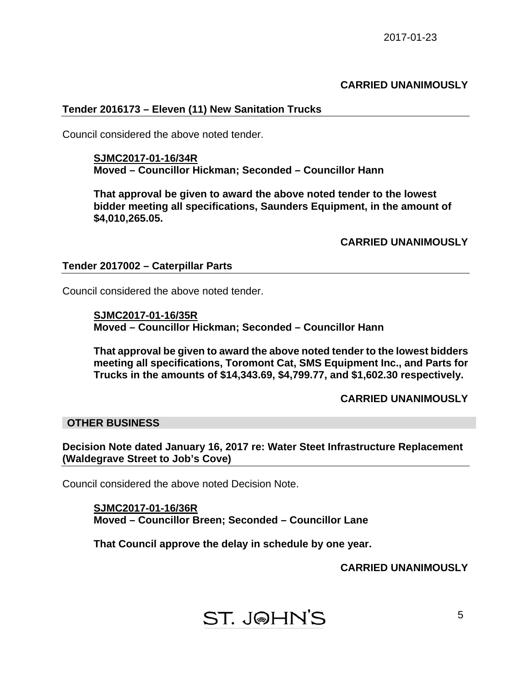#### **CARRIED UNANIMOUSLY**

#### **Tender 2016173 – Eleven (11) New Sanitation Trucks**

Council considered the above noted tender.

**SJMC2017-01-16/34R Moved – Councillor Hickman; Seconded – Councillor Hann** 

**That approval be given to award the above noted tender to the lowest bidder meeting all specifications, Saunders Equipment, in the amount of \$4,010,265.05.** 

**CARRIED UNANIMOUSLY** 

#### **Tender 2017002 – Caterpillar Parts**

Council considered the above noted tender.

**SJMC2017-01-16/35R Moved – Councillor Hickman; Seconded – Councillor Hann** 

**That approval be given to award the above noted tender to the lowest bidders meeting all specifications, Toromont Cat, SMS Equipment Inc., and Parts for Trucks in the amounts of \$14,343.69, \$4,799.77, and \$1,602.30 respectively.** 

**CARRIED UNANIMOUSLY** 

#### **OTHER BUSINESS**

**Decision Note dated January 16, 2017 re: Water Steet Infrastructure Replacement (Waldegrave Street to Job's Cove)** 

Council considered the above noted Decision Note.

**SJMC2017-01-16/36R Moved – Councillor Breen; Seconded – Councillor Lane** 

**That Council approve the delay in schedule by one year.** 

**CARRIED UNANIMOUSLY**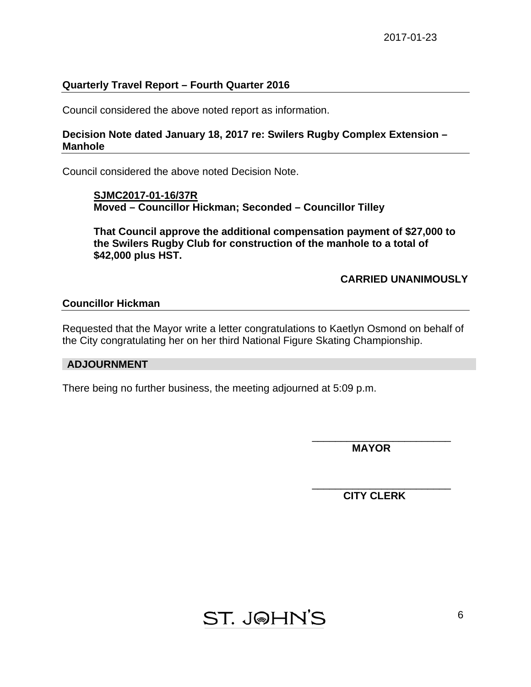## **Quarterly Travel Report – Fourth Quarter 2016**

Council considered the above noted report as information.

#### **Decision Note dated January 18, 2017 re: Swilers Rugby Complex Extension – Manhole**

Council considered the above noted Decision Note.

**SJMC2017-01-16/37R Moved – Councillor Hickman; Seconded – Councillor Tilley** 

**That Council approve the additional compensation payment of \$27,000 to the Swilers Rugby Club for construction of the manhole to a total of \$42,000 plus HST.** 

## **CARRIED UNANIMOUSLY**

#### **Councillor Hickman**

Requested that the Mayor write a letter congratulations to Kaetlyn Osmond on behalf of the City congratulating her on her third National Figure Skating Championship.

## **ADJOURNMENT**

There being no further business, the meeting adjourned at 5:09 p.m.

 $\overline{\phantom{a}}$  , which is a set of the set of the set of the set of the set of the set of the set of the set of the set of the set of the set of the set of the set of the set of the set of the set of the set of the set of th  **MAYOR** 

 **CITY CLERK** 



 $\overline{\phantom{a}}$  , and the contract of the contract of the contract of the contract of the contract of the contract of the contract of the contract of the contract of the contract of the contract of the contract of the contrac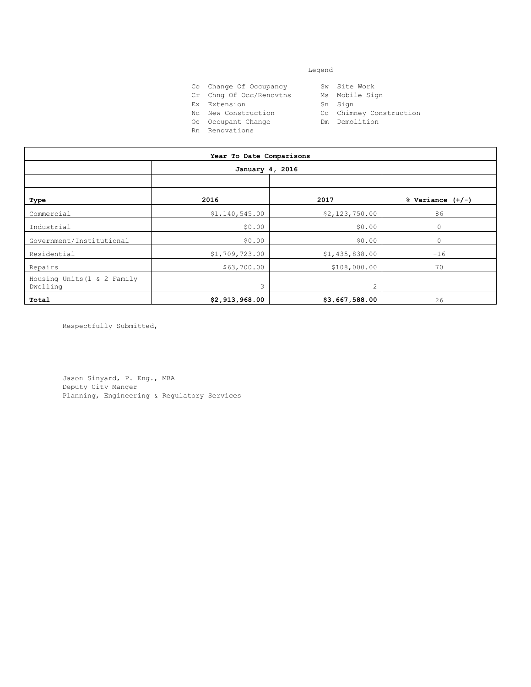#### Legend

- Co Change Of Occupancy Sw Site Work<br>Cr Chng Of Occ/Renovtns Ms Mobile Sign
- Cr Chng Of Occ/Renovtns Ms Mobil<br>Ex Extension Sn Sign
- Ex Extension
	-
- Nc New Construction Cc Chimney Construction
- Oc Occupant Change Manuel Dm Demolition
- Rn Renovations
- 
- 
- 
- 
- 

|                                         | January 4, 2016     |                    |                      |
|-----------------------------------------|---------------------|--------------------|----------------------|
|                                         |                     |                    |                      |
| Type                                    | 2016                | 2017               | $%$ Variance $(+/-)$ |
| Commercial                              | \$1,140,545.00      | \$2,123,750.00     | 86                   |
| Industrial                              | \$0.00              | \$0.0 <sup>0</sup> | $\circ$              |
| Government/Institutional                | \$0.00              | $\omega_{\rho}$    | $\circ$              |
| Residential                             | \$1,709,723.00      | \$1,430838.00      | $-16$                |
| Repairs                                 | \$63,700.00         | \$108,000.00       | 70                   |
| Housing Units (1 & 2 Family<br>Dwelling | Minizies of January | 2                  |                      |
| Total                                   |                     | \$3,667,588.00     | 26                   |
| Respectfully Submitted,                 |                     |                    |                      |